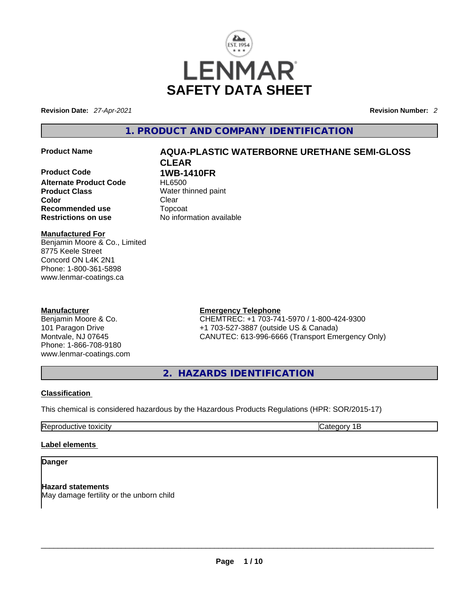

**Revision Date:** *27-Apr-2021* **Revision Number:** *2*

**1. PRODUCT AND COMPANY IDENTIFICATION** 

**Product Code 1WB-1410FR Alternate Product Code Product Class Water thinned paint Color Clear Recommended use Topcoat Restrictions on use COVID-** No inform

# **Manufactured For**

Benjamin Moore & Co., Limited 8775 Keele Street Concord ON L4K 2N1 Phone: 1-800-361-5898 www.lenmar-coatings.ca

### **Manufacturer**

Benjamin Moore & Co. 101 Paragon Drive Montvale, NJ 07645 Phone: 1-866-708-9180 www.lenmar-coatings.com

# **Product Name AQUA-PLASTIC WATERBORNE URETHANE SEMI-GLOSS CLEAR**

**Restrictions on use** No information available

**Emergency Telephone**

CHEMTREC: +1 703-741-5970 / 1-800-424-9300 +1 703-527-3887 (outside US & Canada) CANUTEC: 613-996-6666 (Transport Emergency Only)

**2. HAZARDS IDENTIFICATION** 

# **Classification**

This chemical is considered hazardous by the Hazardous Products Regulations (HPR: SOR/2015-17)

Reproductive toxicity **Category 1B** 

# **Label elements**

# **Danger**

**Hazard statements**<br>May damage fertility or the unborn child May damage fertility or the unborn child  $\blacksquare$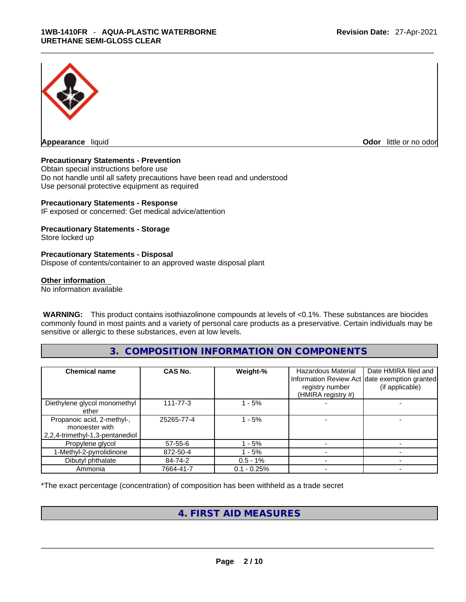

**Appearance** liquid **Odor 11** and **Odor 11** and **Odor 11** and **Odor 11** and **Odor 11** and **Odor** 11 and **Odor** 11 and **Odor** 11 and **Odor** 11 and **Odor** 11 and **Odor** 11 and **Odor** 11 and **Odor** 11 and **Odor** 11 and **Odor** 

#### **Precautionary Statements - Prevention**

Obtain special instructions before use Do not handle until all safety precautions have been read and understood Use personal protective equipment as required

#### **Precautionary Statements - Response**

IF exposed or concerned: Get medical advice/attention

#### **Precautionary Statements - Storage**

Store locked up

#### **Precautionary Statements - Disposal**

Dispose of contents/container to an approved waste disposal plant

#### **Other information**

No information available

 **WARNING:** This product contains isothiazolinone compounds at levels of <0.1%. These substances are biocides commonly found in most paints and a variety of personal care products as a preservative. Certain individuals may be sensitive or allergic to these substances, even at low levels.

# **3. COMPOSITION INFORMATION ON COMPONENTS**

| <b>Chemical name</b>                                                            | <b>CAS No.</b> | Weight-%      | <b>Hazardous Material</b><br>registry number<br>(HMIRA registry #) | Date HMIRA filed and<br>Information Review Act date exemption granted<br>(if applicable) |
|---------------------------------------------------------------------------------|----------------|---------------|--------------------------------------------------------------------|------------------------------------------------------------------------------------------|
| Diethylene glycol monomethyl<br>ether                                           | $111 - 77 - 3$ | 1 - 5%        |                                                                    |                                                                                          |
| Propanoic acid, 2-methyl-,<br>monoester with<br>2,2,4-trimethyl-1,3-pentanediol | 25265-77-4     | 1 - 5%        |                                                                    |                                                                                          |
| Propylene glycol                                                                | $57 - 55 - 6$  | - 5%          |                                                                    |                                                                                          |
| 1-Methyl-2-pyrrolidinone                                                        | 872-50-4       | $-5%$         |                                                                    |                                                                                          |
| Dibutyl phthalate                                                               | 84-74-2        | $0.5 - 1\%$   |                                                                    |                                                                                          |
| Ammonia                                                                         | 7664-41-7      | $0.1 - 0.25%$ |                                                                    |                                                                                          |

\*The exact percentage (concentration) of composition has been withheld as a trade secret

# **4. FIRST AID MEASURES**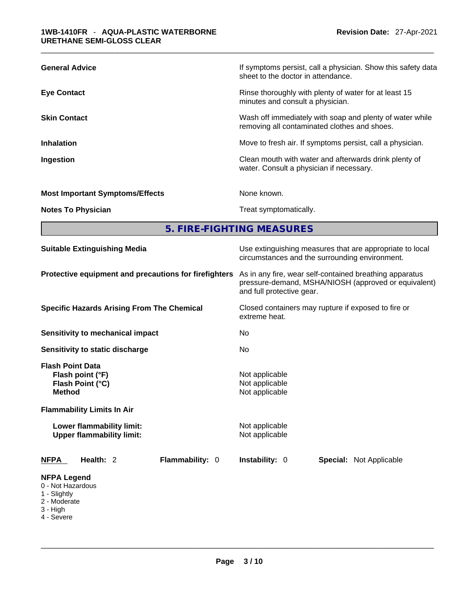| <b>General Advice</b>                  | If symptoms persist, call a physician. Show this safety data<br>sheet to the doctor in attendance.       |
|----------------------------------------|----------------------------------------------------------------------------------------------------------|
| <b>Eye Contact</b>                     | Rinse thoroughly with plenty of water for at least 15<br>minutes and consult a physician.                |
| <b>Skin Contact</b>                    | Wash off immediately with soap and plenty of water while<br>removing all contaminated clothes and shoes. |
| <b>Inhalation</b>                      | Move to fresh air. If symptoms persist, call a physician.                                                |
| Ingestion                              | Clean mouth with water and afterwards drink plenty of<br>water. Consult a physician if necessary.        |
| <b>Most Important Symptoms/Effects</b> | None known.                                                                                              |
| <b>Notes To Physician</b>              | Treat symptomatically.                                                                                   |

**5. FIRE-FIGHTING MEASURES** 

| <b>Suitable Extinguishing Media</b>                                                                                   | Use extinguishing measures that are appropriate to local<br>circumstances and the surrounding environment.                                   |  |  |  |
|-----------------------------------------------------------------------------------------------------------------------|----------------------------------------------------------------------------------------------------------------------------------------------|--|--|--|
| Protective equipment and precautions for firefighters                                                                 | As in any fire, wear self-contained breathing apparatus<br>pressure-demand, MSHA/NIOSH (approved or equivalent)<br>and full protective gear. |  |  |  |
| <b>Specific Hazards Arising From The Chemical</b>                                                                     | Closed containers may rupture if exposed to fire or<br>extreme heat.                                                                         |  |  |  |
| Sensitivity to mechanical impact                                                                                      | No                                                                                                                                           |  |  |  |
| Sensitivity to static discharge                                                                                       | No.                                                                                                                                          |  |  |  |
| <b>Flash Point Data</b><br>Flash point (°F)<br>Flash Point (°C)<br><b>Method</b><br><b>Flammability Limits In Air</b> | Not applicable<br>Not applicable<br>Not applicable                                                                                           |  |  |  |
| Lower flammability limit:<br><b>Upper flammability limit:</b>                                                         | Not applicable<br>Not applicable                                                                                                             |  |  |  |
| Health: 2<br>Flammability: 0<br><b>NFPA</b>                                                                           | <b>Instability: 0</b><br><b>Special: Not Applicable</b>                                                                                      |  |  |  |
| <b>NFPA Legend</b><br>0 - Not Hazardous<br>1 - Slightly<br>2 - Moderate<br>3 - High<br>4 - Severe                     |                                                                                                                                              |  |  |  |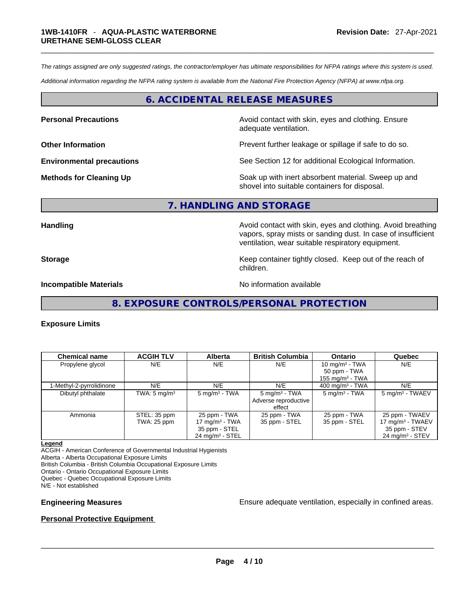*The ratings assigned are only suggested ratings, the contractor/employer has ultimate responsibilities for NFPA ratings where this system is used.* 

*Additional information regarding the NFPA rating system is available from the National Fire Protection Agency (NFPA) at www.nfpa.org.* 

### **6. ACCIDENTAL RELEASE MEASURES**

**Personal Precautions Avoid contact with skin, eyes and clothing. Ensure Personal Precautions** adequate ventilation.

**Other Information Department Information Department Information Prevent further leakage or spillage if safe to do so.** 

**Environmental precautions** See Section 12 for additional Ecological Information.

**Methods for Cleaning Up Example 20 Soak** up with inert absorbent material. Sweep up and shovel into suitable containers for disposal.

#### **7. HANDLING AND STORAGE**

**Handling Handling Avoid contact with skin, eyes and clothing. Avoid breathing** vapors, spray mists or sanding dust. In case of insufficient ventilation, wear suitable respiratory equipment.

**Storage Storage Keep container tightly closed. Keep out of the reach of <b>Storage Keep** out of the reach of children.

**Incompatible Materials Incompatible Materials No information available** 

**8. EXPOSURE CONTROLS/PERSONAL PROTECTION** 

#### **Exposure Limits**

| <b>Chemical name</b>     | <b>ACGIH TLV</b>        | <b>Alberta</b>                    | <b>British Columbia</b>        | <b>Ontario</b>           | Quebec                                        |
|--------------------------|-------------------------|-----------------------------------|--------------------------------|--------------------------|-----------------------------------------------|
| Propylene glycol         | N/E                     | N/E                               | N/E                            | 10 mg/m $3$ - TWA        | N/E                                           |
|                          |                         |                                   |                                | 50 ppm - TWA             |                                               |
|                          |                         |                                   |                                | 155 mg/m $3$ - TWA       |                                               |
| 1-Methyl-2-pyrrolidinone | N/E                     | N/E                               | N/E                            | 400 mg/m $3$ - TWA       | N/E                                           |
| Dibutyl phthalate        | TWA: $5 \text{ mg/m}^3$ | $5 \text{ mg/m}^3$ - TWA          | $5 \text{ mg/m}^3$ - TWA       | $5 \text{ mg/m}^3$ - TWA | 5 mg/m <sup>3</sup> - TWAEV                   |
|                          |                         |                                   | Adverse reproductive<br>effect |                          |                                               |
| Ammonia                  | STEL: 35 ppm            | 25 ppm - TWA<br>17 mg/m $3$ - TWA | 25 ppm - TWA                   | 25 ppm - TWA             | 25 ppm - TWAEV                                |
|                          | <b>TWA: 25 ppm</b>      | 35 ppm - STEL                     | 35 ppm - STEL                  | 35 ppm - STEL            | 17 mg/m <sup>3</sup> - TWAEV<br>35 ppm - STEV |
|                          |                         | $24$ mg/m <sup>3</sup> - STEL     |                                |                          | $24$ mg/m <sup>3</sup> - STEV                 |

#### **Legend**

ACGIH - American Conference of Governmental Industrial Hygienists Alberta - Alberta Occupational Exposure Limits British Columbia - British Columbia Occupational Exposure Limits Ontario - Ontario Occupational Exposure Limits Quebec - Quebec Occupational Exposure Limits

N/E - Not established

**Engineering Measures** Ensure adequate ventilation, especially in confined areas.

#### **Personal Protective Equipment**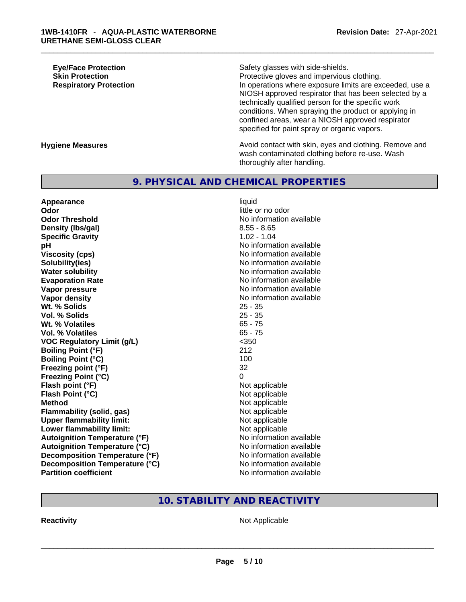**Eye/Face Protection Safety glasses with side-shields. Skin Protection Protection Protective gloves and impervious clothing. Respiratory Protection In operations where exposure limits are exceeded, use a** NIOSH approved respirator that has been selected by a technically qualified person for the specific work conditions. When spraying the product or applying in confined areas, wear a NIOSH approved respirator specified for paint spray or organic vapors.

**Hygiene Measures Avoid contact with skin, eyes and clothing. Remove and Avoid contact with skin, eyes and clothing. Remove and Avoid contact with skin, eyes and clothing. Remove and** wash contaminated clothing before re-use. Wash thoroughly after handling.

# **9. PHYSICAL AND CHEMICAL PROPERTIES**

**Appearance** liquid **Odor Odor little or no odor little or no odor Odor Threshold** No information available **Density** (Ibs/gal) 8.55 - 8.65 **Specific Gravity** 1.02 - 1.04 **pH pH** *No* information available **Viscosity (cps) Viscosity (cps) No information available Solubility(ies)** No information available **Water solubility No information available No information available Evaporation Rate No information available No information available Vapor pressure**  No information available **No information** available **Vapor density No information available No information available Wt. % Solids** 25 - 35 **Vol. % Solids** 25 - 35 **Wt. % Volatiles** 65 - 75 **Vol. % Volatiles** 65 - 75 **VOC Regulatory Limit (g/L)** <350 **Boiling Point (°F)** 212 **Boiling Point**  $(^{\circ}C)$  100 **Freezing point (°F)** 32 **Freezing Point (°C)** 0 **Flash point (°F)**<br> **Flash Point (°C)**<br> **Flash Point (°C)**<br> **Not** applicable **Flash Point (°C) Method** Not applicable **Flammability (solid, gas)** Not applicable **Upper flammability limit:** Not applicable **Lower flammability limit:** Not applicable **Autoignition Temperature (°F)** No information available **Autoignition Temperature (°C)** No information available **Decomposition Temperature (°F)** No information available **Decomposition Temperature (°C)**<br> **Partition coefficient**<br> **Partition coefficient**<br> **No** information available

**No information available** 

# **10. STABILITY AND REACTIVITY**

**Reactivity** Not Applicable \_\_\_\_\_\_\_\_\_\_\_\_\_\_\_\_\_\_\_\_\_\_\_\_\_\_\_\_\_\_\_\_\_\_\_\_\_\_\_\_\_\_\_\_\_\_\_\_\_\_\_\_\_\_\_\_\_\_\_\_\_\_\_\_\_\_\_\_\_\_\_\_\_\_\_\_\_\_\_\_\_\_\_\_\_\_\_\_\_\_\_\_\_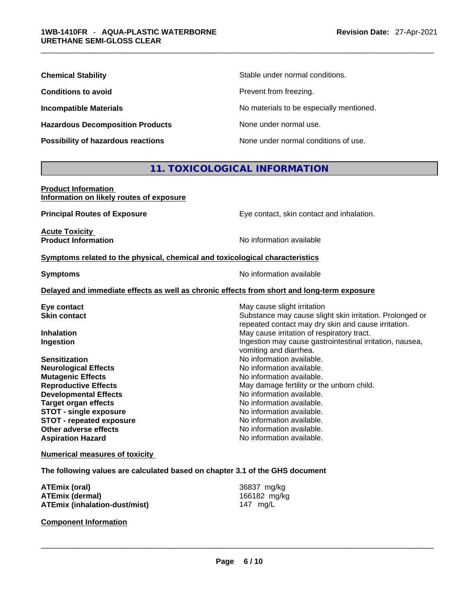| <b>Chemical Stability</b>               | Stable under normal conditions.          |
|-----------------------------------------|------------------------------------------|
| <b>Conditions to avoid</b>              | Prevent from freezing.                   |
| <b>Incompatible Materials</b>           | No materials to be especially mentioned. |
| <b>Hazardous Decomposition Products</b> | None under normal use.                   |
| Possibility of hazardous reactions      | None under normal conditions of use.     |

# **11. TOXICOLOGICAL INFORMATION**

| <b>Product Information</b>               |  |
|------------------------------------------|--|
| Information on likely routes of exposure |  |

**Principal Routes of Exposure** Eye contact, skin contact and inhalation.

**Acute Toxicity<br>Product Information** 

**No information available** 

#### **<u>Symptoms related to the physical, chemical and toxicological characteristics</u>**

**Symptoms Symptoms No information available** 

#### **Delayed and immediate effects as well as chronic effects from short and long-term exposure**

| Eye contact                     | May cause slight irritation                              |
|---------------------------------|----------------------------------------------------------|
| <b>Skin contact</b>             | Substance may cause slight skin irritation. Prolonged or |
|                                 | repeated contact may dry skin and cause irritation.      |
| <b>Inhalation</b>               | May cause irritation of respiratory tract.               |
| Ingestion                       | Ingestion may cause gastrointestinal irritation, nausea, |
|                                 | vomiting and diarrhea.                                   |
| <b>Sensitization</b>            | No information available.                                |
| <b>Neurological Effects</b>     | No information available.                                |
| <b>Mutagenic Effects</b>        | No information available.                                |
| <b>Reproductive Effects</b>     | May damage fertility or the unborn child.                |
| <b>Developmental Effects</b>    | No information available.                                |
| <b>Target organ effects</b>     | No information available.                                |
| <b>STOT - single exposure</b>   | No information available.                                |
| <b>STOT - repeated exposure</b> | No information available.                                |
| Other adverse effects           | No information available.                                |
| <b>Aspiration Hazard</b>        | No information available.                                |

#### **Numerical measures of toxicity**

**The following values are calculated based on chapter 3.1 of the GHS document**

| ATEmix (oral)                 | 36837 mg/kg  |
|-------------------------------|--------------|
| <b>ATEmix (dermal)</b>        | 166182 mg/kg |
| ATEmix (inhalation-dust/mist) | 147 mg/L     |

**Component Information**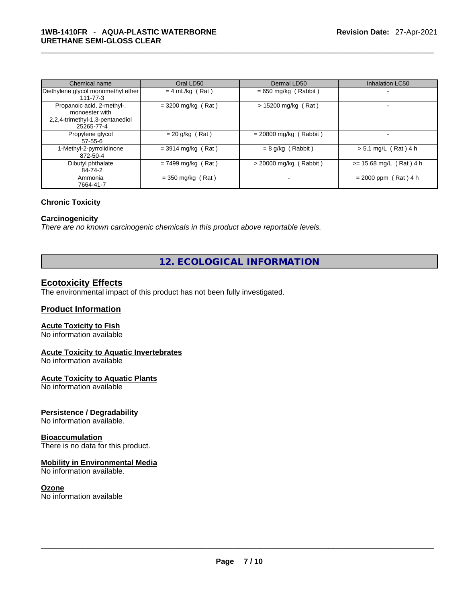| Chemical name                                                                                 | Oral LD50            | Dermal LD50              | <b>Inhalation LC50</b>    |
|-----------------------------------------------------------------------------------------------|----------------------|--------------------------|---------------------------|
| Diethylene glycol monomethyl ether<br>111-77-3                                                | $= 4$ mL/kg (Rat)    | $= 650$ mg/kg (Rabbit)   |                           |
| Propanoic acid, 2-methyl-,<br>monoester with<br>2,2,4-trimethyl-1,3-pentanediol<br>25265-77-4 | $=$ 3200 mg/kg (Rat) | $> 15200$ mg/kg (Rat)    |                           |
| Propylene glycol<br>$57 - 55 - 6$                                                             | $= 20$ g/kg (Rat)    | $= 20800$ mg/kg (Rabbit) |                           |
| 1-Methyl-2-pyrrolidinone<br>872-50-4                                                          | $=$ 3914 mg/kg (Rat) | $= 8$ g/kg (Rabbit)      | $> 5.1$ mg/L (Rat) 4 h    |
| Dibutyl phthalate<br>84-74-2                                                                  | $= 7499$ mg/kg (Rat) | $>$ 20000 mg/kg (Rabbit) | $>= 15.68$ mg/L (Rat) 4 h |
| Ammonia<br>7664-41-7                                                                          | $=$ 350 mg/kg (Rat)  |                          | $= 2000$ ppm (Rat) 4 h    |

#### **Chronic Toxicity**

### **Carcinogenicity**

*There are no known carcinogenic chemicals in this product above reportable levels.* 

# **12. ECOLOGICAL INFORMATION**

# **Ecotoxicity Effects**

The environmental impact of this product has not been fully investigated.

### **Product Information**

### **Acute Toxicity to Fish**

No information available

#### **Acute Toxicity to Aquatic Invertebrates**

No information available

#### **Acute Toxicity to Aquatic Plants**

No information available

### **Persistence / Degradability**

No information available.

#### **Bioaccumulation**

There is no data for this product.

#### **Mobility in Environmental Media**

No information available.

#### **Ozone**

No information available \_\_\_\_\_\_\_\_\_\_\_\_\_\_\_\_\_\_\_\_\_\_\_\_\_\_\_\_\_\_\_\_\_\_\_\_\_\_\_\_\_\_\_\_\_\_\_\_\_\_\_\_\_\_\_\_\_\_\_\_\_\_\_\_\_\_\_\_\_\_\_\_\_\_\_\_\_\_\_\_\_\_\_\_\_\_\_\_\_\_\_\_\_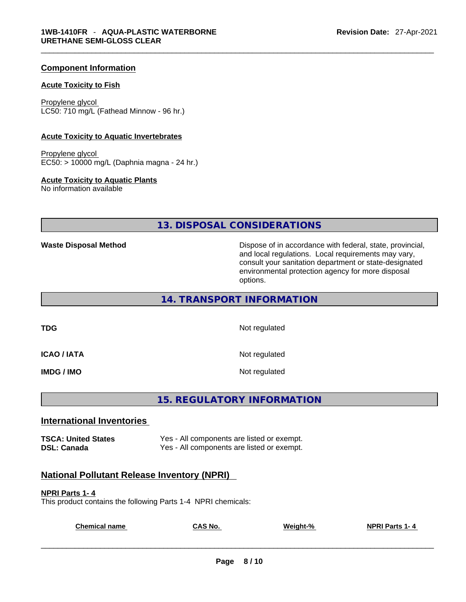#### **Component Information**

#### **Acute Toxicity to Fish**

Propylene glycol LC50: 710 mg/L (Fathead Minnow - 96 hr.)

#### **Acute Toxicity to Aquatic Invertebrates**

Propylene glycol EC50: > 10000 mg/L (Daphnia magna - 24 hr.)

#### **Acute Toxicity to Aquatic Plants**

No information available

**13. DISPOSAL CONSIDERATIONS** 

**Waste Disposal Method** Dispose of in accordance with federal, state, provincial, and local regulations. Local requirements may vary, consult your sanitation department or state-designated environmental protection agency for more disposal options.

**14. TRANSPORT INFORMATION** 

**TDG** Not regulated

**ICAO / IATA** Not regulated

**IMDG / IMO Not regulated** 

**15. REGULATORY INFORMATION** 

#### **International Inventories**

**TSCA: United States** Yes - All components are listed or exempt. **DSL: Canada Ves - All components are listed or exempt.** 

# **National Pollutant Release Inventory (NPRI)**

#### **NPRI Parts 1- 4**

This product contains the following Parts 1-4 NPRI chemicals:

| <b>Chemical</b><br>name | $CAS$ No. | Weight-% | <b>NPRI Parts 1-4</b> |
|-------------------------|-----------|----------|-----------------------|
|                         |           |          |                       |
|                         |           |          |                       |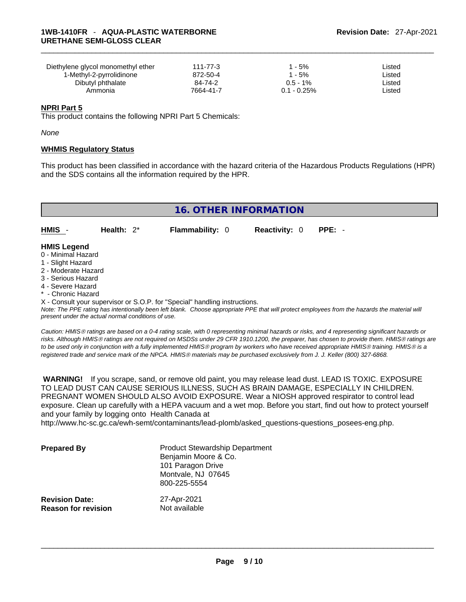| Diethylene glycol monomethyl ether | 111-77-3  | l - 5%         | ∟isted |
|------------------------------------|-----------|----------------|--------|
| 1-Methyl-2-pyrrolidinone           | 872-50-4  | - 5%           | ∟isted |
| Dibutyl phthalate                  | 84-74-2   | $0.5 - 1\%$    | ∟isted |
| Ammonia                            | 7664-41-7 | $0.1 - 0.25\%$ | ∟isted |

#### **NPRI Part 5**

This product contains the following NPRI Part 5 Chemicals:

*None*

#### **WHMIS Regulatory Status**

This product has been classified in accordance with the hazard criteria of the Hazardous Products Regulations (HPR) and the SDS contains all the information required by the HPR.

|                                                                                    |               | <b>16. OTHER INFORMATION</b> |                      |          |  |
|------------------------------------------------------------------------------------|---------------|------------------------------|----------------------|----------|--|
| $HMIS -$                                                                           | Health: $2^*$ | <b>Flammability: 0</b>       | <b>Reactivity: 0</b> | $PPE: -$ |  |
| <b>HMIS Legend</b><br>0 - Minimal Hazard<br>1 - Slight Hazard<br>O Moderate Horard |               |                              |                      |          |  |

- 2 Moderate Hazard
- 3 Serious Hazard
- 4 Severe Hazard
- Chronic Hazard

X - Consult your supervisor or S.O.P. for "Special" handling instructions.

Note: The PPE rating has intentionally been left blank. Choose appropriate PPE that will protect employees from the hazards the material will *present under the actual normal conditions of use.* 

*Caution: HMISÒ ratings are based on a 0-4 rating scale, with 0 representing minimal hazards or risks, and 4 representing significant hazards or risks. Although HMISÒ ratings are not required on MSDSs under 29 CFR 1910.1200, the preparer, has chosen to provide them. HMISÒ ratings are to be used only in conjunction with a fully implemented HMISÒ program by workers who have received appropriate HMISÒ training. HMISÒ is a registered trade and service mark of the NPCA. HMISÒ materials may be purchased exclusively from J. J. Keller (800) 327-6868.* 

 **WARNING!** If you scrape, sand, or remove old paint, you may release lead dust. LEAD IS TOXIC. EXPOSURE TO LEAD DUST CAN CAUSE SERIOUS ILLNESS, SUCH AS BRAIN DAMAGE, ESPECIALLY IN CHILDREN. PREGNANT WOMEN SHOULD ALSO AVOID EXPOSURE.Wear a NIOSH approved respirator to control lead exposure. Clean up carefully with a HEPA vacuum and a wet mop. Before you start, find out how to protect yourself and your family by logging onto Health Canada at

http://www.hc-sc.gc.ca/ewh-semt/contaminants/lead-plomb/asked\_questions-questions\_posees-eng.php.

| <b>Prepared By</b>         | <b>Product Stewardship Department</b><br>Benjamin Moore & Co.<br>101 Paragon Drive<br>Montvale, NJ 07645<br>800-225-5554 |
|----------------------------|--------------------------------------------------------------------------------------------------------------------------|
| <b>Revision Date:</b>      | 27-Apr-2021                                                                                                              |
| <b>Reason for revision</b> | Not available                                                                                                            |